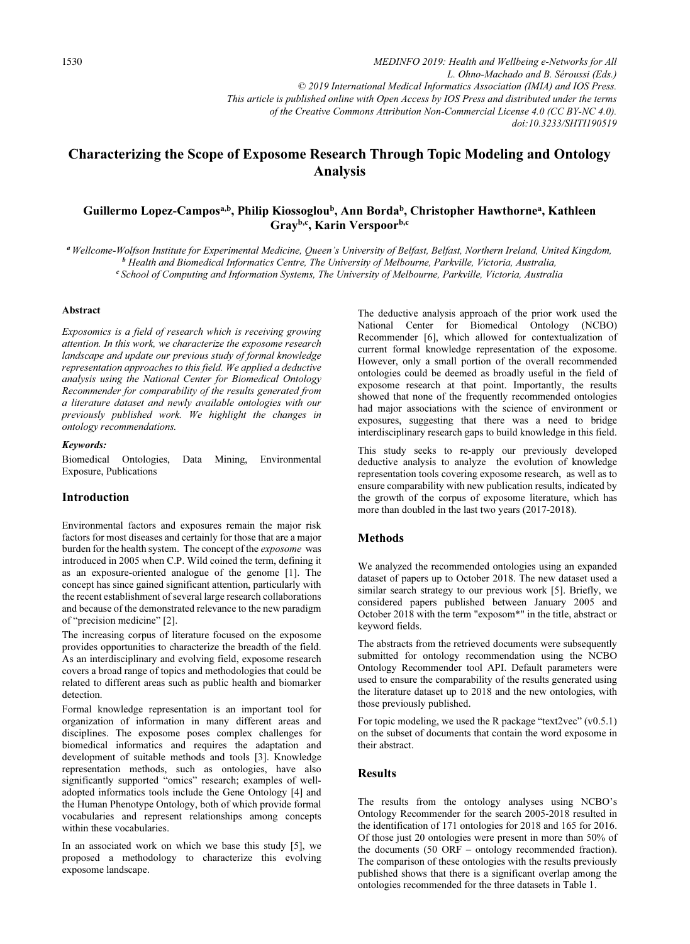*doi:10.3233/SHTI190519*

# Characterizing the Scope of Exposome Research Through Topic Modeling and Ontology Analysis

## Guillermo Lopez-Campos<sup>a,b</sup>, Philip Kiossoglou<sup>b</sup>, Ann Borda<sup>b</sup>, Christopher Hawthorne<sup>a</sup>, Kathleen Grayb,c, Karin Verspoorb,c

<sup>a</sup>Wellcome-Wolfson Institute for Experimental Medicine, Queen's University of Belfast, Belfast, Northern Ireland, United Kingdom, <sup>b</sup>  $e$  School of Computing and Information Systems, The University of Melbourne, Parkville, Victoria, Australia

#### Abstract

Exposomics is a field of research which is receiving growing attention. In this work, we characterize the exposome research landscape and update our previous study of formal knowledge representation approaches to this field. We applied a deductive analysis using the National Center for Biomedical Ontology Recommender for comparability of the results generated from a literature dataset and newly available ontologies with our previously published work. We highlight the changes in ontology recommendations.

#### Keywords:

Biomedical Ontologies, Data Mining, Environmental Exposure, Publications

### Introduction

Environmental factors and exposures remain the major risk factors for most diseases and certainly for those that are a major burden for the health system. The concept of the exposome was introduced in 2005 when C.P. Wild coined the term, defining it as an exposure-oriented analogue of the genome [1]. The concept has since gained significant attention, particularly with the recent establishment of several large research collaborations and because of the demonstrated relevance to the new paradigm of "precision medicine" [2].

The increasing corpus of literature focused on the exposome provides opportunities to characterize the breadth of the field. As an interdisciplinary and evolving field, exposome research covers a broad range of topics and methodologies that could be related to different areas such as public health and biomarker detection.

Formal knowledge representation is an important tool for organization of information in many different areas and disciplines. The exposome poses complex challenges for biomedical informatics and requires the adaptation and development of suitable methods and tools [3]. Knowledge representation methods, such as ontologies, have also significantly supported "omics" research; examples of welladopted informatics tools include the Gene Ontology [4] and the Human Phenotype Ontology, both of which provide formal vocabularies and represent relationships among concepts within these vocabularies.

In an associated work on which we base this study [5], we proposed a methodology to characterize this evolving exposome landscape.

The deductive analysis approach of the prior work used the National Center for Biomedical Ontology (NCBO) Recommender [6], which allowed for contextualization of current formal knowledge representation of the exposome. However, only a small portion of the overall recommended ontologies could be deemed as broadly useful in the field of exposome research at that point. Importantly, the results showed that none of the frequently recommended ontologies had major associations with the science of environment or exposures, suggesting that there was a need to bridge interdisciplinary research gaps to build knowledge in this field.

This study seeks to re-apply our previously developed deductive analysis to analyze the evolution of knowledge representation tools covering exposome research, as well as to ensure comparability with new publication results, indicated by the growth of the corpus of exposome literature, which has more than doubled in the last two years (2017-2018).

#### Methods

We analyzed the recommended ontologies using an expanded dataset of papers up to October 2018. The new dataset used a similar search strategy to our previous work [5]. Briefly, we considered papers published between January 2005 and October 2018 with the term "exposom\*" in the title, abstract or keyword fields.

The abstracts from the retrieved documents were subsequently submitted for ontology recommendation using the NCBO Ontology Recommender tool API. Default parameters were used to ensure the comparability of the results generated using the literature dataset up to 2018 and the new ontologies, with those previously published.

For topic modeling, we used the R package "text2vec" (v0.5.1) on the subset of documents that contain the word exposome in their abstract.

#### **Results**

The results from the ontology analyses using NCBO's Ontology Recommender for the search 2005-2018 resulted in the identification of 171 ontologies for 2018 and 165 for 2016. Of those just 20 ontologies were present in more than 50% of the documents (50 ORF – ontology recommended fraction). The comparison of these ontologies with the results previously published shows that there is a significant overlap among the ontologies recommended for the three datasets in Table 1.